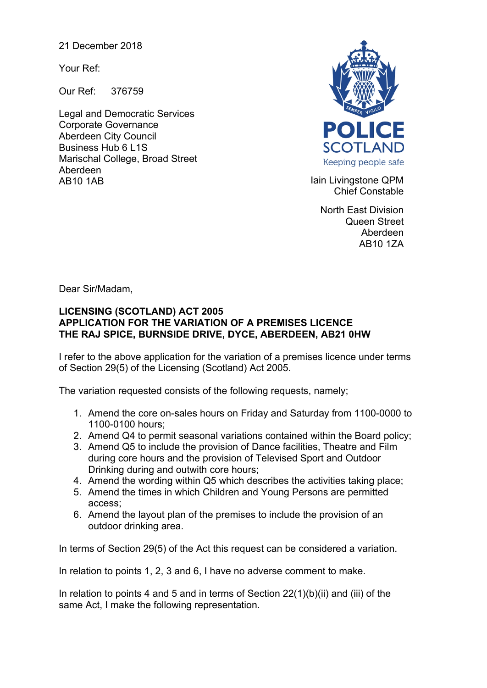21 December 2018

Your Ref:

Our Ref: 376759

Legal and Democratic Services Corporate Governance Aberdeen City Council Business Hub 6 L1S Marischal College, Broad Street Aberdeen AB10 1AB **Iain Livingstone QPM** 



Chief Constable

North East Division Queen Street Aberdeen AB10 1ZA

Dear Sir/Madam,

## **LICENSING (SCOTLAND) ACT 2005 APPLICATION FOR THE VARIATION OF A PREMISES LICENCE THE RAJ SPICE, BURNSIDE DRIVE, DYCE, ABERDEEN, AB21 0HW**

I refer to the above application for the variation of a premises licence under terms of Section 29(5) of the Licensing (Scotland) Act 2005.

The variation requested consists of the following requests, namely;

- 1. Amend the core on-sales hours on Friday and Saturday from 1100-0000 to 1100-0100 hours;
- 2. Amend Q4 to permit seasonal variations contained within the Board policy;
- 3. Amend Q5 to include the provision of Dance facilities, Theatre and Film during core hours and the provision of Televised Sport and Outdoor Drinking during and outwith core hours;
- 4. Amend the wording within Q5 which describes the activities taking place;
- 5. Amend the times in which Children and Young Persons are permitted access;
- 6. Amend the layout plan of the premises to include the provision of an outdoor drinking area.

In terms of Section 29(5) of the Act this request can be considered a variation.

In relation to points 1, 2, 3 and 6, I have no adverse comment to make.

In relation to points 4 and 5 and in terms of Section  $22(1)(b)(ii)$  and (iii) of the same Act, I make the following representation.